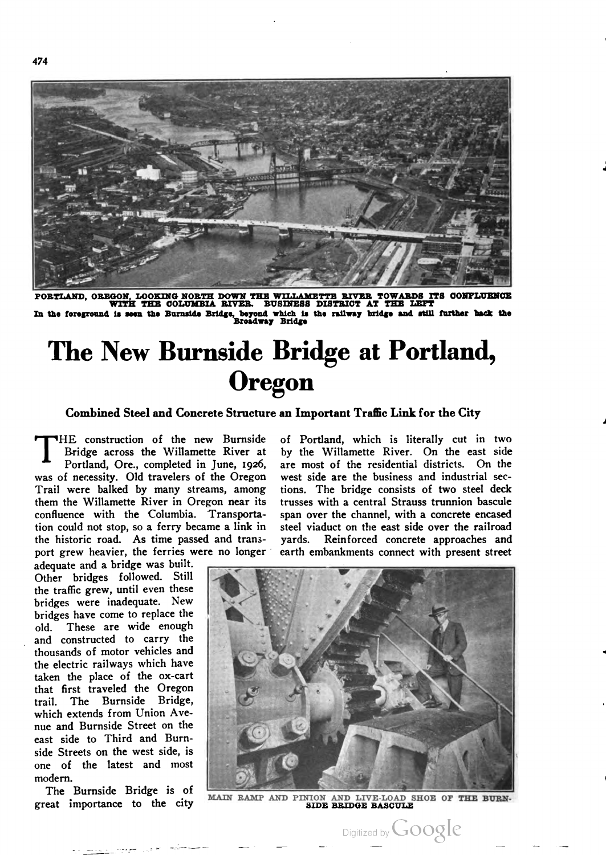

**PORTLAND, OREGON, LOOKING NORTH DOWN THE WILLAMETTE RIVER TOWARDS ITS CONFLUENCE**<br>WITH THE COLUMBIA RIVER. BUSINESS DISTRICT AT THE LEFT WITH THE COLUMBIA RIVER. BUSINESS DISTRICT AT THE LEFT<br>In the foreground is seen the Burnside Bridge, beyond which is the railway bridge and still further back the

# The New Burnside Bridge at Portland, **Oregon**

### Combined Steel and Concrete Structure an Important Traflic Link for the City

Bridge across the Willamette River at Portland, Ore., completed in June, 1926, was of necessity. Old travelers of the Oregon Trail were balked by many streams, among them the Willamette River in Oregon near its confluence with the Columbia. Transporta tion could not stop, so a ferry became a link in the historic road. As time passed and trans "HE construction of the new Burnside port grew heavier, the ferries were no longer

adequate and a bridge was built. Other bridges followed. Still the traffic grew, until even these bridges were inadequate. New bridges have come to replace the old. These are wide enough and constructed to carry the thousands of motor vehicles and the electric railways which have taken the place of the ox-cart that first traveled the Oregon trail. The Burnside Bridge, which extends from Union Ave nue and Burnside Street on the east side to Third and Burn side Streets on the west side, is one of the latest and most modern.

The Burnside Bridge is of great importance to the city of Portland, which is literally cut in two by the Willamette River. On the east side are most of the residential districts. On the west side are the business and industrial sec tions. The bridge consists of two steel deck trusses with a. central Strauss trunnion bascule span over the channel, with a concrete encased steel viaduct on the east side over the railroad yards. Reinforced concrete approaches and earth embankments connect with present street



MAIN RAMP AND PINION AND LIVE-LOAD SHOE OF THE BURN SIDE BRIDGE BASCULE

Digitized by Google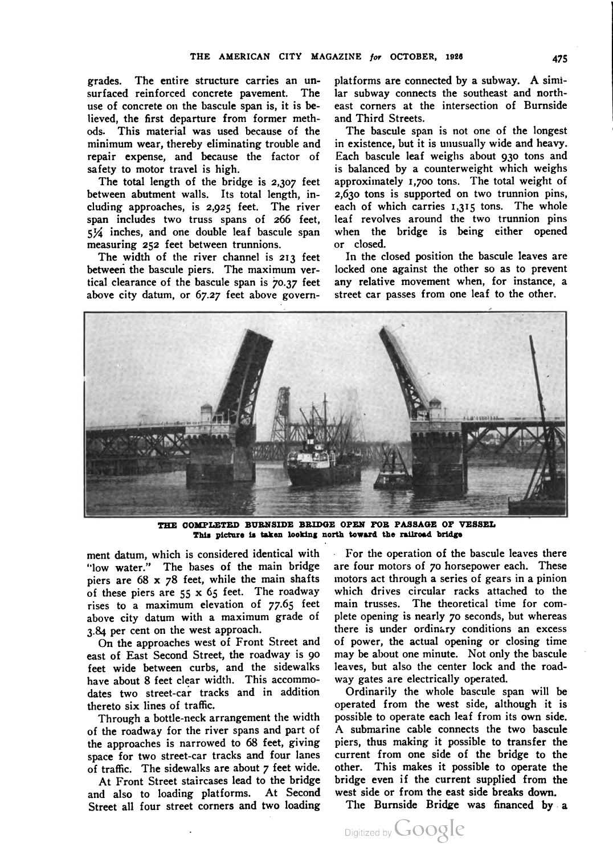grades. The entire structure carries an un surfaced reinforced concrete pavement. The use of concrete on the bascule span is, it is be lieved, the first departure from former meth ods. This material was used because of the minimum wear, thereby eliminating trouble and repair expense, and because the factor of safety to motor travel is high.

The total length of the bridge is 2,307 feet between abutment walls. Its total length, in cluding approaches, is 2,925 feet. The river span includes two truss spans of 266 feet,  $5\frac{1}{4}$  inches, and one double leaf bascule span measuring 252 feet between trunnions.

The width of the river channel is 213 feet between the bascule piers. The maximum ver tical clearance of the bascule span is 70.37 feet above city datum, or 67.27 feet above govern

platforms are connected by <sup>a</sup> subway. A simi lar subway connects the southeast and north east corners at the intersection of Burnside and Third Streets.

The bascule span is not one of the longest in existence, but it is unusually wide and heavy. Each bascule leaf weighs about 930 tons and is balanced by a counterweight which weighs approximately 1,700 tons. The total weight of 2,630 tons is supported on two trunnion pins, each of which carries 1,315 tons. The whole leaf revolves around the two trunnion pins when the bridge is being either opened or closed.

In the closed position the bascule leaves are locked one against the other so as to prevent any relative movement when, for instance, a street car passes from one leaf to the other.



THE COMPLETED BURNSIDE BRIDGE OPEN FOR PASSAGE OF VESSEL This picture is taken looking north toward the railroad bridge

ment datum, which is considered identical with "low water." The bases of the main bridge piers are 68 x 78 feet, while the main shafts of these piers are  $55 \times 65$  feet. The roadway rises to a maximum elevation of 77.65 feet above city datum with a maximum grade of 3.84 per cent on the west approach.

On the approaches west of Front Street and east of East Second Street, the roadway is 90 feet wide between curbs, and the sidewalks have about 8 feet clear width. This accommo dates two street-car tracks and in addition thereto six lines of traffic.

Through a bottle-neck arrangement the width of the roadway for the river spans and part of the approaches is narrowed to 68 feet, giving space for two street-car tracks and four lanes of traffic. The sidewalks are about 7 feet wide.

At Front Street staircases lead to the bridge and also to loading platforms. At Second Street all four street corners and two loading

For the operation of the bascule leaves there are four motors of 70 horsepower each. These motors act through a series of gears in a pinion which drives circular racks attached to the main trusses. The theoretical time for com plete opening is nearly 70 seconds, but whereas there is under ordinary conditions an excess of power, the actual opening or closing time may be about one minute. Not only the bascule leaves, but also the center lock and the road way gates are electrically operated.

Ordinarily the whole bascule span will be operated from the west side, although it is possible to operate each leaf from its own side. A submarine cable connects the two bascule piers, thus making it possible to transfer the current from one side of the bridge to the other. This makes it possible to operate the bridge even if the current supplied from the west side or from the east side breaks down.

The Burnside Bridge was financed by a

Digitized by Google